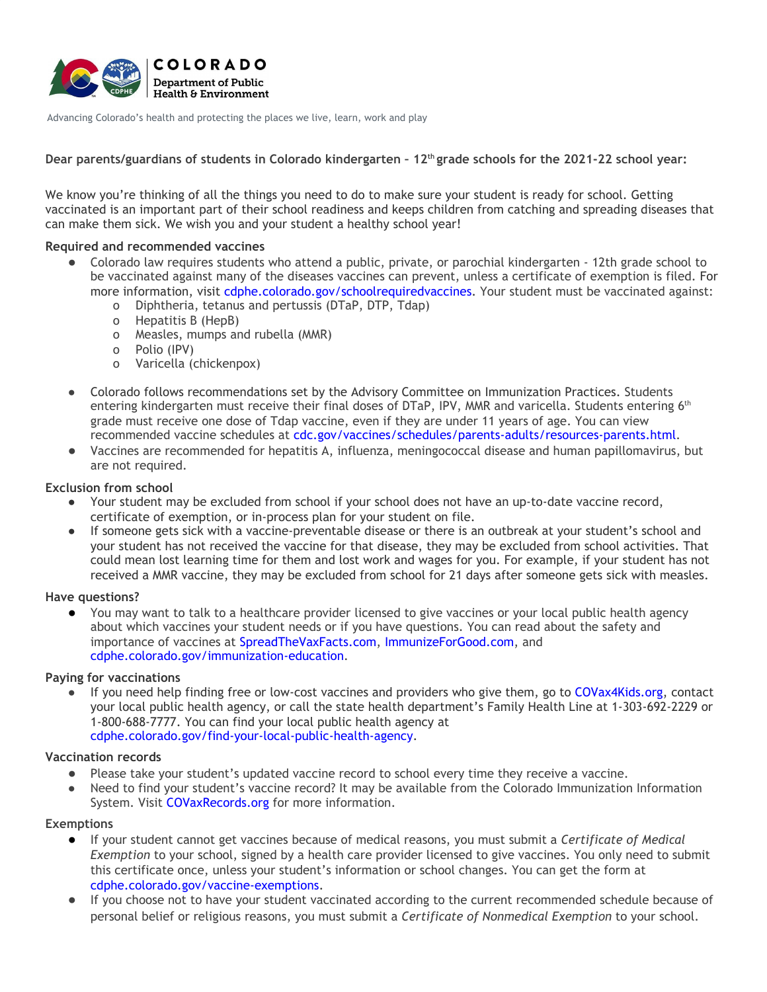

Advancing Colorado's health and protecting the places we live, learn, work and play

**Dear parents/guardians of students in Colorado kindergarten – 12th grade schools for the 2021-22 school year:**

We know you're thinking of all the things you need to do to make sure your student is ready for school. Getting vaccinated is an important part of their school readiness and keeps children from catching and spreading diseases that can make them sick. We wish you and your student a healthy school year!

# **Required and recommended vaccines**

- Colorado law requires students who attend a public, private, or parochial kindergarten 12th grade school to be vaccinated against many of the diseases vaccines can prevent, unless a certificate of exemption is filed. For more information, visit [cdphe.colorado.gov/schoolrequiredvaccines](https://cdphe.colorado.gov/schoolrequiredvaccines). Your student must be vaccinated against:
	- o Diphtheria, tetanus and pertussis (DTaP, DTP, Tdap)
	- o Hepatitis B (HepB)
	- o Measles, mumps and rubella (MMR)
	- o Polio (IPV)
	- o Varicella (chickenpox)
- Colorado follows recommendations set by the Advisory Committee on Immunization Practices. Students entering kindergarten must receive their final doses of DTaP, IPV, MMR and varicella. Students entering 6<sup>th</sup> grade must receive one dose of Tdap vaccine, even if they are under 11 years of age. You can view recommended vaccine schedules at [cdc.gov/vaccines/schedules/parents-adults/resources-parents.html.](https://www.cdc.gov/vaccines/schedules/parents-adults/resources-parents.html)
- Vaccines are recommended for hepatitis A, influenza, meningococcal disease and human papillomavirus, but are not required.

# **Exclusion from school**

- Your student may be excluded from school if your school does not have an up-to-date vaccine record, certificate of exemption, or in-process plan for your student on file.
- If someone gets sick with a vaccine-preventable disease or there is an outbreak at your student's school and your student has not received the vaccine for that disease, they may be excluded from school activities. That could mean lost learning time for them and lost work and wages for you. For example, if your student has not received a MMR vaccine, they may be excluded from school for 21 days after someone gets sick with measles.

### **Have questions?**

● You may want to talk to a healthcare provider licensed to give vaccines or your local public health agency about which vaccines your student needs or if you have questions. You can read about the safety and importance of vaccines at [SpreadTheVaxFacts.com,](http://www.spreadthevaxfacts.com/) [ImmunizeForGood.com](http://www.immunizeforgood.com/), and [cdphe.colorado.gov/immunization-education](http://cdphe.colorado.gov/immunization-education).

### **Paying for vaccinations**

● If you need help finding free or low-cost vaccines and providers who give them, go to [COVax4Kids.org,](http://www.covax4kids.org/) contact your local public health agency, or call the state health department's Family Health Line at 1-303-692-2229 or 1-800-688-7777. You can find your local public health agency at [cdphe.colorado.gov/find-your-local-public-health-agency.](http://cdphe.colorado.gov/find-your-local-public-health-agency)

### **Vaccination records**

- Please take your student's updated vaccine record to school every time they receive a vaccine.
- Need to find your student's vaccine record? It may be available from the Colorado Immunization Information System. Visit [COVaxRecords.org](http://www.covaxrecords.org/) for more information.

### **Exemptions**

- If your student cannot get vaccines because of medical reasons, you must submit a *Certificate of Medical Exemption* to your school, signed by a health care provider licensed to give vaccines. You only need to submit this certificate once, unless your student's information or school changes. You can get the form at [cdphe.colorado.gov/vaccine-exemptions.](http://cdphe.colorado.gov/vaccine-exemptions)
- If you choose not to have your student vaccinated according to the current recommended schedule because of personal belief or religious reasons, you must submit a *Certificate of Nonmedical Exemption* to your school.